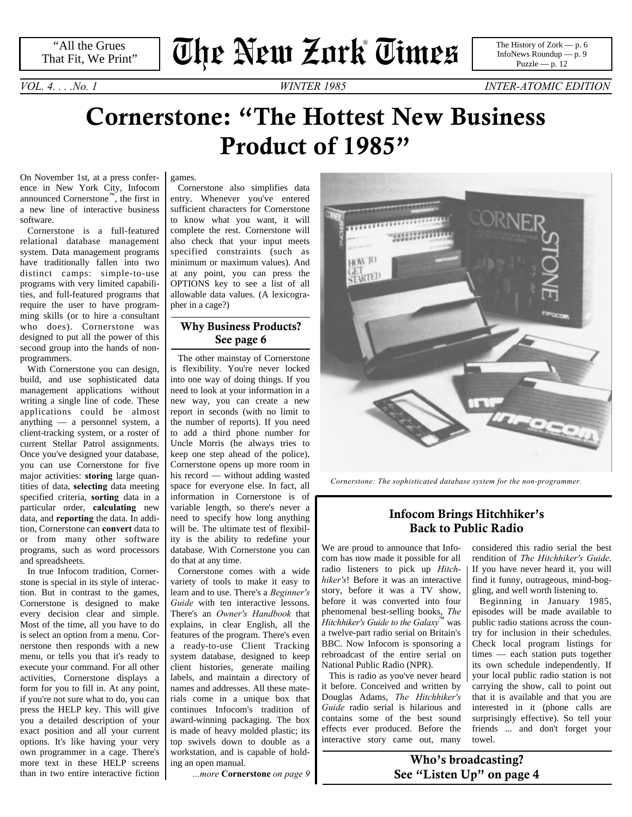# **The New Zork Times** ®

*VOL. 4. . . .No. 1 WINTER 1985 INTER-ATOMIC EDITION*

### **Cornerstone: "The Hottest New Business Product of 1985"**

On November 1st, at a press conference in New York City, Infocom announced Cornerstone™, the first in a new line of interactive business software.

Cornerstone is a full-featured relational database management system. Data management programs have traditionally fallen into two distinct camps: simple-to-use programs with very limited capabilities, and full-featured programs that require the user to have programming skills (or to hire a consultant who does). Cornerstone was designed to put all the power of this second group into the hands of nonprogrammers.

With Cornerstone you can design, build, and use sophisticated data management applications without writing a single line of code. These applications could be almost anything — a personnel system, a client-tracking system, or a roster of current Stellar Patrol assignments. Once you've designed your database, you can use Cornerstone for five major activities: **storing** large quantities of data, **selecting** data meeting specified criteria, **sorting** data in a particular order, **calculating** new data, and **reporting** the data. In addition, Cornerstone can **convert** data to or from many other software programs, such as word processors and spreadsheets.

In true Infocom tradition, Cornerstone is special in its style of interaction. But in contrast to the games, Cornerstone is designed to make every decision clear and simple. Most of the time, all you have to do is select an option from a menu. Cornerstone then responds with a new menu, or tells you that it's ready to execute your command. For all other activities, Cornerstone displays a form for you to fill in. At any point, if you're not sure what to do, you can press the HELP key. This will give you a detailed description of your exact position and all your current options. It's like having your very own programmer in a cage. There's more text in these HELP screens than in two entire interactive fiction games.

Cornerstone also simplifies data entry. Whenever you've entered sufficient characters for Cornerstone to know what you want, it will complete the rest. Cornerstone will also check that your input meets specified constraints (such as minimum or maximum values). And at any point, you can press the OPTIONS key to see a list of all allowable data values. (A lexicographer in a cage?)

#### **Why Business Products? [See page 6](#page-5-1)**

The other mainstay of Cornerstone is flexibility. You're never locked into one way of doing things. If you need to look at your information in a new way, you can create a new report in seconds (with no limit to the number of reports). If you need to add a third phone number for Uncle Morris (he always tries to keep one step ahead of the police), Cornerstone opens up more room in his record — without adding wasted space for everyone else. In fact, all information in Cornerstone is of variable length, so there's never a need to specify how long anything will be. The ultimate test of flexibility is the ability to redefine your database. With Cornerstone you can do that at any time.

<span id="page-0-0"></span>Cornerstone comes with a wide variety of tools to make it easy to learn and to use. There's a *Beginner's Guide* with ten interactive lessons. There's an *Owner's Handbook* that explains, in clear English, all the features of the program. There's even a ready-to-use Client Tracking system database, designed to keep client histories, generate mailing labels, and maintain a directory of names and addresses. All these materials come in a unique box that continues Infocom's tradition of award-winning packaging. The box is made of heavy molded plastic; its top swivels down to double as a workstation, and is capable of holding an open manual.

*...more* **[Cornerstone](#page-8-1)** *on page 9*



*Cornerstone: The sophisticated database system for the non-programmer.*

#### **Infocom Brings Hitchhiker's Back to Public Radio**

We are proud to announce that Infocom has now made it possible for all radio listeners to pick up *Hitchhiker's*! Before it was an interactive story, before it was a TV show, before it was converted into four phenomenal best-selling books, *The Hitchhiker's Guide to the Galaxy*™ was a twelve-part radio serial on Britain's BBC. Now Infocom is sponsoring a rebroadcast of the entire serial on National Public Radio (NPR).

This is radio as you've never heard it before. Conceived and written by Douglas Adams, *The Hitchhiker's Guide* radio serial is hilarious and contains some of the best sound effects ever produced. Before the interactive story came out, many

considered this radio serial the best rendition of *The Hitchhiker's Guide*. If you have never heard it, you will find it funny, outrageous, mind-boggling, and well worth listening to.

Beginning in January 1985, episodes will be made available to public radio stations across the country for inclusion in their schedules. Check local program listings for times — each station puts together its own schedule independently. If your local public radio station is not carrying the show, call to point out that it is available and that you are interested in it (phone calls are surprisingly effective). So tell your friends ... and don't forget your towel.

**Who's broadcasting? [See "Listen Up" on page 4](#page-3-0)**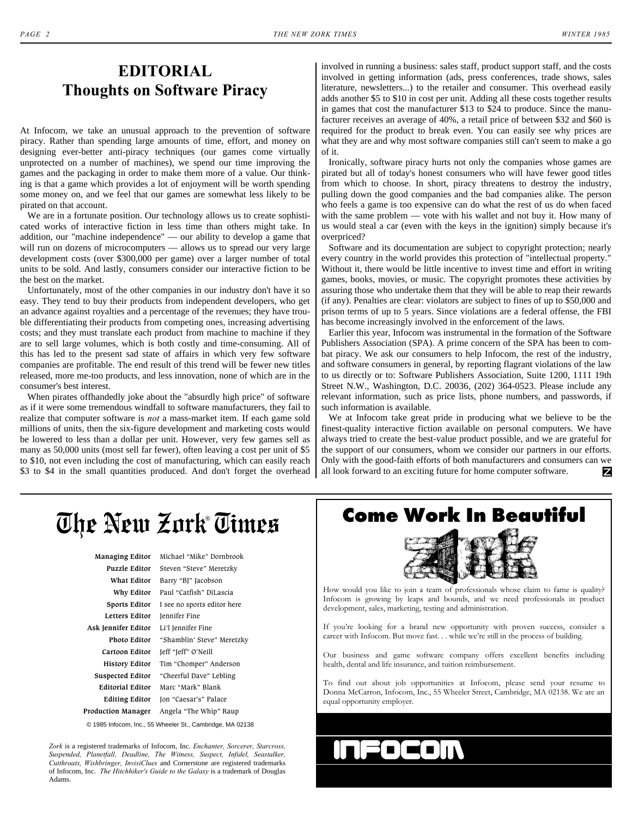### **EDITORIAL Thoughts on Software Piracy**

At Infocom, we take an unusual approach to the prevention of software piracy. Rather than spending large amounts of time, effort, and money on designing ever-better anti-piracy techniques (our games come virtually unprotected on a number of machines), we spend our time improving the games and the packaging in order to make them more of a value. Our thinking is that a game which provides a lot of enjoyment will be worth spending some money on, and we feel that our games are somewhat less likely to be pirated on that account.

We are in a fortunate position. Our technology allows us to create sophisticated works of interactive fiction in less time than others might take. In addition, our "machine independence" — our ability to develop a game that will run on dozens of microcomputers — allows us to spread our very large development costs (over \$300,000 per game) over a larger number of total units to be sold. And lastly, consumers consider our interactive fiction to be the best on the market.

Unfortunately, most of the other companies in our industry don't have it so easy. They tend to buy their products from independent developers, who get an advance against royalties and a percentage of the revenues; they have trouble differentiating their products from competing ones, increasing advertising costs; and they must translate each product from machine to machine if they are to sell large volumes, which is both costly and time-consuming. All of this has led to the present sad state of affairs in which very few software companies are profitable. The end result of this trend will be fewer new titles released, more me-too products, and less innovation, none of which are in the consumer's best interest.

When pirates offhandedly joke about the "absurdly high price" of software as if it were some tremendous windfall to software manufacturers, they fail to realize that computer software is *not* a mass-market item. If each game sold millions of units, then the six-figure development and marketing costs would be lowered to less than a dollar per unit. However, very few games sell as many as 50,000 units (most sell far fewer), often leaving a cost per unit of \$5 to \$10, not even including the cost of manufacturing, which can easily reach \$3 to \$4 in the small quantities produced. And don't forget the overhead involved in running a business: sales staff, product support staff, and the costs involved in getting information (ads, press conferences, trade shows, sales literature, newsletters...) to the retailer and consumer. This overhead easily adds another \$5 to \$10 in cost per unit. Adding all these costs together results in games that cost the manufacturer \$13 to \$24 to produce. Since the manufacturer receives an average of 40%, a retail price of between \$32 and \$60 is required for the product to break even. You can easily see why prices are what they are and why most software companies still can't seem to make a go of it.

Ironically, software piracy hurts not only the companies whose games are pirated but all of today's honest consumers who will have fewer good titles from which to choose. In short, piracy threatens to destroy the industry, pulling down the good companies and the bad companies alike. The person who feels a game is too expensive can do what the rest of us do when faced with the same problem — vote with his wallet and not buy it. How many of us would steal a car (even with the keys in the ignition) simply because it's overpriced?

Software and its documentation are subject to copyright protection; nearly every country in the world provides this protection of "intellectual property." Without it, there would be little incentive to invest time and effort in writing games, books, movies, or music. The copyright promotes these activities by assuring those who undertake them that they will be able to reap their rewards (if any). Penalties are clear: violators are subject to fines of up to \$50,000 and prison terms of up to 5 years. Since violations are a federal offense, the FBI has become increasingly involved in the enforcement of the laws.

Earlier this year, Infocom was instrumental in the formation of the Software Publishers Association (SPA). A prime concern of the SPA has been to combat piracy. We ask our consumers to help Infocom, the rest of the industry, and software consumers in general, by reporting flagrant violations of the law to us directly or to: Software Publishers Association, Suite 1200, 1111 19th Street N.W., Washington, D.C. 20036, (202) 364-0523. Please include any relevant information, such as price lists, phone numbers, and passwords, if such information is available.

We at Infocom take great pride in producing what we believe to be the finest-quality interactive fiction available on personal computers. We have always tried to create the best-value product possible, and we are grateful for the support of our consumers, whom we consider our partners in our efforts. Only with the good-faith efforts of both manufacturers and consumers can we all look forward to an exciting future for home computer software. Z

### **The New Zork Times**

| Managing Editor           | Michael "Mike" Dornbrook    |
|---------------------------|-----------------------------|
| <b>Puzzle Editor</b>      | Steven "Steve" Meretzky     |
| What Editor               | Barry "BJ" Jacobson         |
| Why Editor                | Paul "Catfish" DiLascia     |
| Sports Editor             | I see no sports editor here |
| Letters Editor            | Jennifer Fine               |
| Ask Jennifer Editor       | Li'l Jennifer Fine          |
| Photo Editor              | "Shamblin' Steve" Meretzky  |
| Cartoon Editor            | Jeff "Jeff" O'Neill         |
| <b>History Editor</b>     | Tim "Chomper" Anderson      |
| Suspected Editor          | "Cheerful Dave" Lebling     |
| <b>Editorial Editor</b>   | Marc "Mark" Blank           |
| <b>Editing Editor</b>     | Jon "Caesar's" Palace       |
| <b>Production Manager</b> | Angela "The Whip" Raup      |
|                           |                             |

© 1985 Infocom, Inc., 55 Wheeler St., Cambridge, MA 02138

*Zork* is a registered trademarks of Infocom, Inc. *Enchanter, Sorcerer, Starcross, Suspended, Planetfall, Deadline, The Witness, Suspect, Infidel, Seastalker, Cutthroats, Wishbringer, InvisiClues* and Cornerstone are registered trademarks of Infocom, Inc. *The Hitchhiker's Guide to the Galaxy* is a trademark of Douglas Adams.

# ® **Come Work In Beautiful**



How would you like to join a team of professionals whose claim to fame is quality? Infocom is growing by leaps and bounds, and we need professionals in product development, sales, marketing, testing and administration.

If you're looking for a brand new opportunity with proven success, consider a career with Infocom. But move fast. . . while we're still in the process of building.

Our business and game software company offers excellent benefits including health, dental and life insurance, and tuition reimbursement.

To find out about job opportunities at Infocom, please send your resume to Donna McCarron, Infocom, Inc., 55 Wheeler Street, Cambridge, MA 02138. We are an equal opportunity employer.

#### $\blacksquare$  $\blacksquare$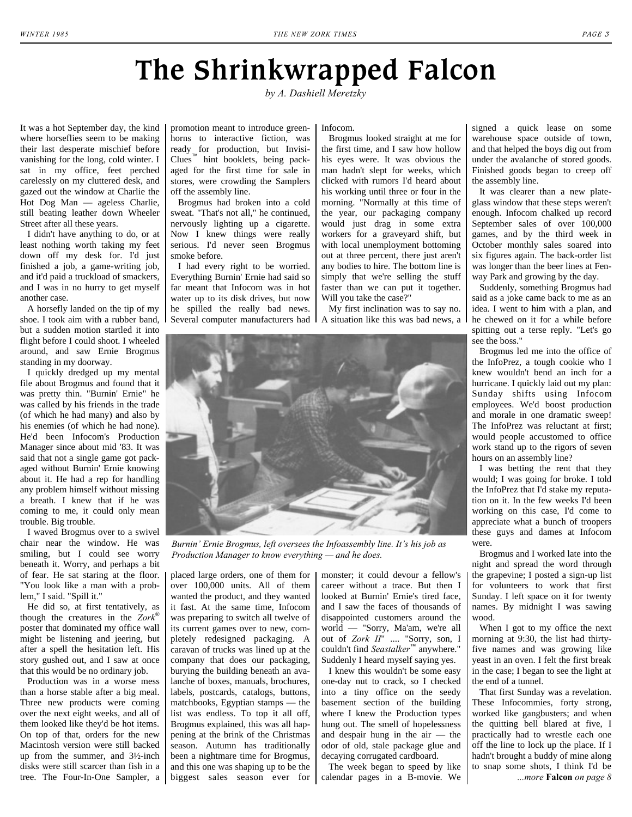## **The Shrinkwrapped Falcon**

*by A. Dashiell Meretzky*

It was a hot September day, the kind where horseflies seem to be making their last desperate mischief before vanishing for the long, cold winter. I sat in my office, feet perched carelessly on my cluttered desk, and gazed out the window at Charlie the Hot Dog Man — ageless Charlie, still beating leather down Wheeler Street after all these years.

I didn't have anything to do, or at least nothing worth taking my feet down off my desk for. I'd just finished a job, a game-writing job, and it'd paid a truckload of smackers, and I was in no hurry to get myself another case.

A horsefly landed on the tip of my shoe. I took aim with a rubber band, but a sudden motion startled it into flight before I could shoot. I wheeled around, and saw Ernie Brogmus standing in my doorway.

I quickly dredged up my mental file about Brogmus and found that it was pretty thin. "Burnin' Ernie" he was called by his friends in the trade (of which he had many) and also by his enemies (of which he had none). He'd been Infocom's Production Manager since about mid '83. It was said that not a single game got packaged without Burnin' Ernie knowing about it. He had a rep for handling any problem himself without missing a breath. I knew that if he was coming to me, it could only mean trouble. Big trouble.

I waved Brogmus over to a swivel chair near the window. He was smiling, but I could see worry beneath it. Worry, and perhaps a bit of fear. He sat staring at the floor. "You look like a man with a problem," I said. "Spill it."

He did so, at first tentatively, as though the creatures in the *Zork*® poster that dominated my office wall might be listening and jeering, but after a spell the hesitation left. His story gushed out, and I saw at once that this would be no ordinary job.

Production was in a worse mess than a horse stable after a big meal. Three new products were coming over the next eight weeks, and all of them looked like they'd be hot items. On top of that, orders for the new Macintosh version were still backed up from the summer, and 3½-inch disks were still scarcer than fish in a tree. The Four-In-One Sampler, a biggest sales season ever for calendar pages in a B-movie. We

promotion meant to introduce greenhorns to interactive fiction, was ready for production, but Invisi-Clues™ hint booklets, being packaged for the first time for sale in stores, were crowding the Samplers off the assembly line.

Brogmus had broken into a cold sweat. "That's not all," he continued, nervously lighting up a cigarette. Now I knew things were really serious. I'd never seen Brogmus smoke before.

I had every right to be worried. Everything Burnin' Ernie had said so far meant that Infocom was in hot water up to its disk drives, but now he spilled the really bad news. Infocom.

Brogmus looked straight at me for the first time, and I saw how hollow his eyes were. It was obvious the man hadn't slept for weeks, which clicked with rumors I'd heard about his working until three or four in the morning. "Normally at this time of the year, our packaging company would just drag in some extra workers for a graveyard shift, but with local unemployment bottoming out at three percent, there just aren't any bodies to hire. The bottom line is simply that we're selling the stuff faster than we can put it together. Will you take the case?"

Several computer manufacturers had A situation like this was bad news, a My first inclination was to say no.



*Burnin' Ernie Brogmus, left oversees the Infoassembly line. It's his job as Production Manager to know everything — and he does.* 

placed large orders, one of them for over 100,000 units. All of them wanted the product, and they wanted it fast. At the same time, Infocom was preparing to switch all twelve of its current games over to new, completely redesigned packaging. A caravan of trucks was lined up at the company that does our packaging, burying the building beneath an avalanche of boxes, manuals, brochures, labels, postcards, catalogs, buttons, matchbooks, Egyptian stamps — the list was endless. To top it all off, Brogmus explained, this was all happening at the brink of the Christmas season. Autumn has traditionally been a nightmare time for Brogmus, and this one was shaping up to be the monster; it could devour a fellow's career without a trace. But then I looked at Burnin' Ernie's tired face, and I saw the faces of thousands of disappointed customers around the world — "Sorry, Ma'am, we're all out of *Zork II*" .... "Sorry, son, I couldn't find *Seastalker*™ anywhere." Suddenly I heard myself saying yes.

I knew this wouldn't be some easy one-day nut to crack, so I checked into a tiny office on the seedy basement section of the building where I knew the Production types hung out. The smell of hopelessness and despair hung in the air — the odor of old, stale package glue and decaying corrugated cardboard.

The week began to speed by like

signed a quick lease on some warehouse space outside of town, and that helped the boys dig out from under the avalanche of stored goods. Finished goods began to creep off the assembly line.

It was clearer than a new plateglass window that these steps weren't enough. Infocom chalked up record September sales of over 100,000 games, and by the third week in October monthly sales soared into six figures again. The back-order list was longer than the beer lines at Fenway Park and growing by the day.

Suddenly, something Brogmus had said as a joke came back to me as an idea. I went to him with a plan, and he chewed on it for a while before spitting out a terse reply. "Let's go see the boss."

Brogmus led me into the office of the InfoPrez, a tough cookie who I knew wouldn't bend an inch for a hurricane. I quickly laid out my plan: Sunday shifts using Infocom employees. We'd boost production and morale in one dramatic sweep! The InfoPrez was reluctant at first; would people accustomed to office work stand up to the rigors of seven hours on an assembly line?

I was betting the rent that they would; I was going for broke. I told the InfoPrez that I'd stake my reputation on it. In the few weeks I'd been working on this case, I'd come to appreciate what a bunch of troopers these guys and dames at Infocom were.

Brogmus and I worked late into the night and spread the word through the grapevine; I posted a sign-up list for volunteers to work that first Sunday. I left space on it for twenty names. By midnight I was sawing wood.

<span id="page-2-0"></span>When I got to my office the next morning at 9:30, the list had thirtyfive names and was growing like yeast in an oven. I felt the first break in the case; I began to see the light at the end of a tunnel.

That first Sunday was a revelation. These Infocommies, forty strong, worked like gangbusters; and when the quitting bell blared at five, I practically had to wrestle each one off the line to lock up the place. If I hadn't brought a buddy of mine along to snap some shots, I think I'd be *...more* **Falcon** *[on page 8](#page-7-0)*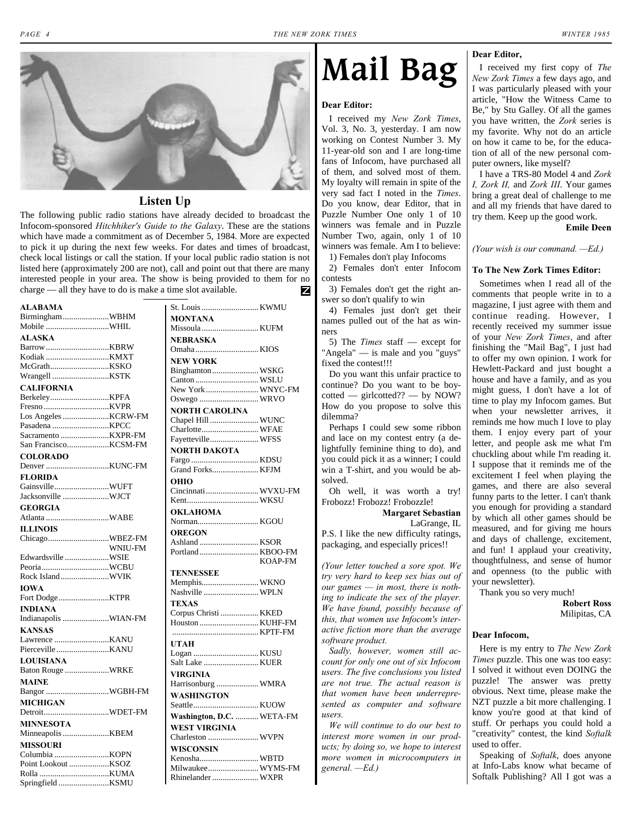<span id="page-3-0"></span>

#### **Listen Up**

The following public radio stations have already decided to broadcast the Infocom-sponsored *Hitchhiker's Guide to the Galaxy*. These are the stations which have made a commitment as of December 5, 1984. More are expected to pick it up during the next few weeks. For dates and times of broadcast, check local listings or call the station. If your local public radio station is not listed here (approximately 200 are not), call and point out that there are many interested people in your area. The show is being provided to them for no charge — all they have to do is make a time slot available.z

| ALABAMA              |         |
|----------------------|---------|
| BirminghamWBHM       |         |
| Mobile WHIL          |         |
| <b>ALASKA</b>        |         |
| Barrow KBRW          |         |
| Kodiak KMXT          |         |
|                      |         |
| Wrangell KSTK        |         |
| <b>CALIFORNIA</b>    |         |
| BerkeleyKPFA         |         |
|                      |         |
| Los Angeles KCRW-FM  |         |
| Pasadena KPCC        |         |
|                      |         |
| San FranciscoKCSM-FM |         |
| <b>COLORADO</b>      |         |
|                      |         |
| <b>FLORIDA</b>       |         |
| GainsvilleWUFT       |         |
| Jacksonville WJCT    |         |
| <b>GEORGIA</b>       |         |
| Atlanta WABE         |         |
| <b>ILLINOIS</b>      |         |
| ChicagoWBEZ-FM       |         |
|                      | WNIU-FM |
| Edwardsville WSIE    |         |
| PeoriaWCBU           |         |
| Rock IslandWVIK      |         |
|                      |         |
| <b>IOWA</b>          |         |
| Fort DodgeKTPR       |         |
| <b>INDIANA</b>       |         |
| Indianapolis WIAN-FM |         |
| <b>KANSAS</b>        |         |
|                      |         |
| Pierceville KANU     |         |
| LOUISIANA            |         |
| Baton Rouge WRKE     |         |
| <b>MAINE</b>         |         |
| Bangor WGBH-FM       |         |
| MICHIGAN             |         |
| DetroitWDET-FM       |         |
| <b>MINNESOTA</b>     |         |
| Minneapolis KBEM     |         |
|                      |         |
| <b>MISSOURI</b>      |         |
|                      |         |
|                      |         |
|                      |         |
| Springfield KSMU     |         |

| <b>MONTANA</b><br>Missoula  KUFM<br>NEBRASKA<br><b>NEW YORK</b><br>Binghamton WSKG<br>Canton  WSLU<br>New York  WNYC-FM<br>Oswego  WRVO<br><b>NORTH CAROLINA</b><br>Chapel Hill  WUNC<br>Charlotte WFAE<br>Fayetteville WFSS<br><b>NORTH DAKOTA</b><br>Grand Forks KFJM<br>OHIO<br>Cincinnati  WVXU-FM<br><b>OKLAHOMA</b><br>Norman KGOU<br><b>OREGON</b><br>Portland  KBOO-FM<br><b>KOAP-FM</b><br><b>TENNESSEE</b><br>Memphis WKNO<br>Nashville  WPLN<br><b>TEXAS</b><br>Corpus Christi  KKED<br>Houston  KUHF-FM<br><b>UTAH</b><br><b>VIRGINIA</b><br>Harrisonburg  WMRA<br><b>WASHINGTON</b><br>Washington, D.C.  WETA-FM<br><b>WEST VIRGINIA</b><br>Charleston  WVPN<br><b>WISCONSIN</b><br>Kenosha WBTD<br>Milwaukee WYMS-FM<br>Rhinelander  WXPR | St. Louis  KWMU |  |
|---------------------------------------------------------------------------------------------------------------------------------------------------------------------------------------------------------------------------------------------------------------------------------------------------------------------------------------------------------------------------------------------------------------------------------------------------------------------------------------------------------------------------------------------------------------------------------------------------------------------------------------------------------------------------------------------------------------------------------------------------------|-----------------|--|
|                                                                                                                                                                                                                                                                                                                                                                                                                                                                                                                                                                                                                                                                                                                                                         |                 |  |
|                                                                                                                                                                                                                                                                                                                                                                                                                                                                                                                                                                                                                                                                                                                                                         |                 |  |
|                                                                                                                                                                                                                                                                                                                                                                                                                                                                                                                                                                                                                                                                                                                                                         |                 |  |
|                                                                                                                                                                                                                                                                                                                                                                                                                                                                                                                                                                                                                                                                                                                                                         |                 |  |
|                                                                                                                                                                                                                                                                                                                                                                                                                                                                                                                                                                                                                                                                                                                                                         |                 |  |
|                                                                                                                                                                                                                                                                                                                                                                                                                                                                                                                                                                                                                                                                                                                                                         |                 |  |
|                                                                                                                                                                                                                                                                                                                                                                                                                                                                                                                                                                                                                                                                                                                                                         |                 |  |
|                                                                                                                                                                                                                                                                                                                                                                                                                                                                                                                                                                                                                                                                                                                                                         |                 |  |
|                                                                                                                                                                                                                                                                                                                                                                                                                                                                                                                                                                                                                                                                                                                                                         |                 |  |
|                                                                                                                                                                                                                                                                                                                                                                                                                                                                                                                                                                                                                                                                                                                                                         |                 |  |
|                                                                                                                                                                                                                                                                                                                                                                                                                                                                                                                                                                                                                                                                                                                                                         |                 |  |
|                                                                                                                                                                                                                                                                                                                                                                                                                                                                                                                                                                                                                                                                                                                                                         |                 |  |
|                                                                                                                                                                                                                                                                                                                                                                                                                                                                                                                                                                                                                                                                                                                                                         |                 |  |
|                                                                                                                                                                                                                                                                                                                                                                                                                                                                                                                                                                                                                                                                                                                                                         |                 |  |
|                                                                                                                                                                                                                                                                                                                                                                                                                                                                                                                                                                                                                                                                                                                                                         |                 |  |
|                                                                                                                                                                                                                                                                                                                                                                                                                                                                                                                                                                                                                                                                                                                                                         |                 |  |
|                                                                                                                                                                                                                                                                                                                                                                                                                                                                                                                                                                                                                                                                                                                                                         |                 |  |
|                                                                                                                                                                                                                                                                                                                                                                                                                                                                                                                                                                                                                                                                                                                                                         |                 |  |
|                                                                                                                                                                                                                                                                                                                                                                                                                                                                                                                                                                                                                                                                                                                                                         |                 |  |
|                                                                                                                                                                                                                                                                                                                                                                                                                                                                                                                                                                                                                                                                                                                                                         |                 |  |
|                                                                                                                                                                                                                                                                                                                                                                                                                                                                                                                                                                                                                                                                                                                                                         |                 |  |
|                                                                                                                                                                                                                                                                                                                                                                                                                                                                                                                                                                                                                                                                                                                                                         |                 |  |
|                                                                                                                                                                                                                                                                                                                                                                                                                                                                                                                                                                                                                                                                                                                                                         |                 |  |
|                                                                                                                                                                                                                                                                                                                                                                                                                                                                                                                                                                                                                                                                                                                                                         |                 |  |
|                                                                                                                                                                                                                                                                                                                                                                                                                                                                                                                                                                                                                                                                                                                                                         |                 |  |
|                                                                                                                                                                                                                                                                                                                                                                                                                                                                                                                                                                                                                                                                                                                                                         |                 |  |
|                                                                                                                                                                                                                                                                                                                                                                                                                                                                                                                                                                                                                                                                                                                                                         |                 |  |
|                                                                                                                                                                                                                                                                                                                                                                                                                                                                                                                                                                                                                                                                                                                                                         |                 |  |
|                                                                                                                                                                                                                                                                                                                                                                                                                                                                                                                                                                                                                                                                                                                                                         |                 |  |
|                                                                                                                                                                                                                                                                                                                                                                                                                                                                                                                                                                                                                                                                                                                                                         |                 |  |
|                                                                                                                                                                                                                                                                                                                                                                                                                                                                                                                                                                                                                                                                                                                                                         |                 |  |
|                                                                                                                                                                                                                                                                                                                                                                                                                                                                                                                                                                                                                                                                                                                                                         |                 |  |
|                                                                                                                                                                                                                                                                                                                                                                                                                                                                                                                                                                                                                                                                                                                                                         |                 |  |
|                                                                                                                                                                                                                                                                                                                                                                                                                                                                                                                                                                                                                                                                                                                                                         |                 |  |
|                                                                                                                                                                                                                                                                                                                                                                                                                                                                                                                                                                                                                                                                                                                                                         |                 |  |
|                                                                                                                                                                                                                                                                                                                                                                                                                                                                                                                                                                                                                                                                                                                                                         |                 |  |
|                                                                                                                                                                                                                                                                                                                                                                                                                                                                                                                                                                                                                                                                                                                                                         |                 |  |
|                                                                                                                                                                                                                                                                                                                                                                                                                                                                                                                                                                                                                                                                                                                                                         |                 |  |
|                                                                                                                                                                                                                                                                                                                                                                                                                                                                                                                                                                                                                                                                                                                                                         |                 |  |
|                                                                                                                                                                                                                                                                                                                                                                                                                                                                                                                                                                                                                                                                                                                                                         |                 |  |
|                                                                                                                                                                                                                                                                                                                                                                                                                                                                                                                                                                                                                                                                                                                                                         |                 |  |
|                                                                                                                                                                                                                                                                                                                                                                                                                                                                                                                                                                                                                                                                                                                                                         |                 |  |
|                                                                                                                                                                                                                                                                                                                                                                                                                                                                                                                                                                                                                                                                                                                                                         |                 |  |
|                                                                                                                                                                                                                                                                                                                                                                                                                                                                                                                                                                                                                                                                                                                                                         |                 |  |
|                                                                                                                                                                                                                                                                                                                                                                                                                                                                                                                                                                                                                                                                                                                                                         |                 |  |
|                                                                                                                                                                                                                                                                                                                                                                                                                                                                                                                                                                                                                                                                                                                                                         |                 |  |

## **Mail Bag**

#### **Dear Editor:**

I received my *New Zork Times*, Vol. 3, No. 3, yesterday. I am now working on Contest Number 3. My 11-year-old son and I are long-time fans of Infocom, have purchased all of them, and solved most of them. My loyalty will remain in spite of the very sad fact I noted in the *Times*. Do you know, dear Editor, that in Puzzle Number One only 1 of 10 winners was female and in Puzzle Number Two, again, only 1 of 10 winners was female. Am I to believe:

1) Females don't play Infocoms 2) Females don't enter Infocom

contests 3) Females don't get the right an-

swer so don't qualify to win

4) Females just don't get their names pulled out of the hat as winners

5) The *Times* staff — except for "Angela" — is male and you "guys" fixed the contest!!!

Do you want this unfair practice to continue? Do you want to be boycotted — girlcotted?? — by NOW? How do you propose to solve this dilemma?

Perhaps I could sew some ribbon and lace on my contest entry (a delightfully feminine thing to do), and you could pick it as a winner; I could win a T-shirt, and you would be absolved.

Oh well, it was worth a try! Frobozz! Frobozz! Frobozzle!

**Margaret Sebastian** LaGrange, IL

P.S. I like the new difficulty ratings, packaging, and especially prices!!

*(Your letter touched a sore spot. We try very hard to keep sex bias out of our games — in most, there is nothing to indicate the sex of the player. We have found, possibly because of this, that women use Infocom's interactive fiction more than the average software product.*

*Sadly, however, women still account for only one out of six Infocom users. The five conclusions you listed are not true. The actual reason is that women have been underrepresented as computer and software users.*

*We will continue to do our best to interest more women in our products; by doing so, we hope to interest more women in microcomputers in general. —Ed.)*

#### **Dear Editor,**

I received my first copy of *The New Zork Times* a few days ago, and I was particularly pleased with your article, "How the Witness Came to Be," by Stu Galley. Of all the games you have written, the *Zork* series is my favorite. Why not do an article on how it came to be, for the education of all of the new personal computer owners, like myself?

I have a TRS-80 Model 4 and *Zork I, Zork II,* and *Zork III*. Your games bring a great deal of challenge to me and all my friends that have dared to try them. Keep up the good work.

**Emile Deen**

*(Your wish is our command. —Ed.)*

#### **To The New Zork Times Editor:**

Sometimes when I read all of the comments that people write in to a magazine, I just agree with them and continue reading. However, I recently received my summer issue of your *New Zork Times*, and after finishing the "Mail Bag", I just had to offer my own opinion. I work for Hewlett-Packard and just bought a house and have a family, and as you might guess, I don't have a lot of time to play my Infocom games. But when your newsletter arrives, it reminds me how much I love to play them. I enjoy every part of your letter, and people ask me what I'm chuckling about while I'm reading it. I suppose that it reminds me of the excitement I feel when playing the games, and there are also several funny parts to the letter. I can't thank you enough for providing a standard by which all other games should be measured, and for giving me hours and days of challenge, excitement, and fun! I applaud your creativity, thoughtfulness, and sense of humor and openness (to the public with your newsletter).

Thank you so very much!

**Robert Ross** Milipitas, CA

#### **Dear Infocom,**

Here is my entry to *The New Zork Times* puzzle. This one was too easy: I solved it without even DOING the puzzle! The answer was pretty obvious. Next time, please make the NZT puzzle a bit more challenging. I know you're good at that kind of stuff. Or perhaps you could hold a "creativity" contest, the kind *Softalk* used to offer.

Speaking of *Softalk*, does anyone at Info-Labs know what became of Softalk Publishing? All I got was a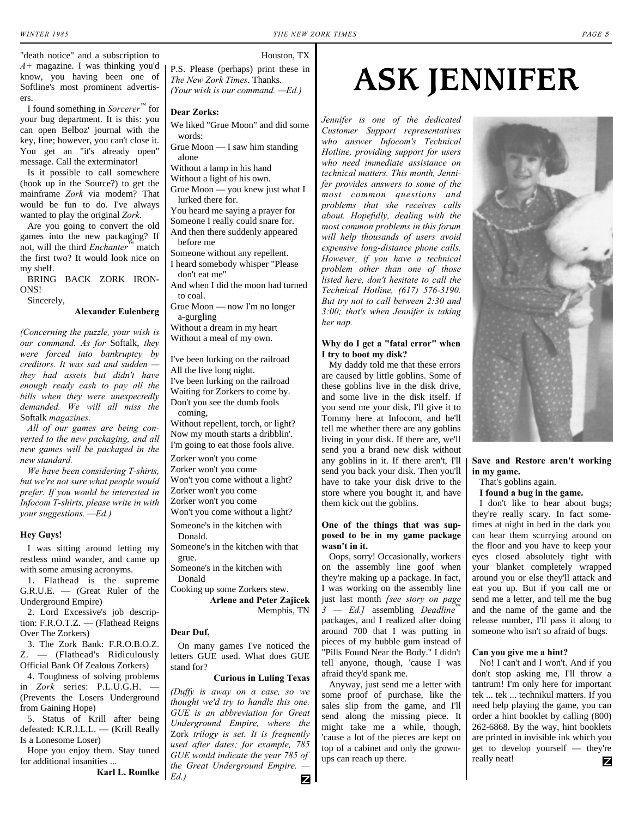#### Houston, TX

"death notice" and a subscription to *A+* magazine. I was thinking you'd know, you having been one of Softline's most prominent advertisers.

I found something in *Sorcerer*™ for your bug department. It is this: you can open Belboz' journal with the key, fine; however, you can't close it. You get an "it's already open" message. Call the exterminator!

Is it possible to call somewhere (hook up in the Source?) to get the mainframe *Zork* via modem? That would be fun to do. I've always wanted to play the original *Zork*.

Are you going to convert the old games into the new packaging? If not, will the third *Enchanter*™ match the first two? It would look nice on my shelf.

BRING BACK ZORK IRON-ONS!

Sincerely,

**Alexander Eulenberg**

*(Concerning the puzzle, your wish is our command. As for* Softalk, *they were forced into bankruptcy by creditors. It was sad and sudden they had assets but didn't have enough ready cash to pay all the bills when they were unexpectedly demanded. We will all miss the* Softalk *magazines.*

*All of our games are being converted to the new packaging, and all new games will be packaged in the new standard.*

*We have been considering T-shirts, but we're not sure what people would prefer. If you would be interested in Infocom T-shirts, please write in with your suggestions. —Ed.)*

#### **Hey Guys!**

I was sitting around letting my restless mind wander, and came up with some amusing acronyms.

1. Flathead is the supreme G.R.U.E. — (Great Ruler of the Underground Empire)

2. Lord Excessive's job description: F.R.O.T.Z. — (Flathead Reigns Over The Zorkers)

3. The Zork Bank: F.R.O.B.O.Z. Z. — (Flathead's Ridiculously Official Bank Of Zealous Zorkers)

4. Toughness of solving problems in *Zork* series: P.L.U.G.H. — (Prevents the Losers Underground from Gaining Hope)

5. Status of Krill after being defeated: K.R.I.L.L. — (Krill Really Is a Lonesome Loser)

Hope you enjoy them. Stay tuned for additional insanities ...

**Karl L. Romlke**

P.S. Please (perhaps) print these in *The New Zork Times*. Thanks. *(Your wish is our command. —Ed.)*

#### **Dear Zorks:**

We liked "Grue Moon" and did some words:

Grue Moon — I saw him standing alone

Without a lamp in his hand

Without a light of his own.

Grue Moon — you knew just what I lurked there for.

You heard me saying a prayer for Someone I really could snare for.

And then there suddenly appeared before me

- Someone without any repellent. I heard somebody whisper "Please
- don't eat me"

And when I did the moon had turned to coal.

Grue Moon — now I'm no longer a-gurgling

Without a dream in my heart Without a meal of my own.

I've been lurking on the railroad All the live long night. I've been lurking on the railroad Waiting for Zorkers to come by. Don't you see the dumb fools coming,

Without repellent, torch, or light? Now my mouth starts a dribblin'. I'm going to eat those fools alive.

Zorker won't you come Zorker won't you come

Won't you come without a light? Zorker won't you come Zorker won't you come

Won't you come without a light?

Someone's in the kitchen with Donald.

Someone's in the kitchen with that grue.

Someone's in the kitchen with Donald

Cooking up some Zorkers stew. **Arlene and Peter Zajicek**

Memphis, TN

#### **Dear Duf,**

On many games I've noticed the letters GUE used. What does GUE stand for?

#### **Curious in Luling Texas**

*(Duffy is away on a case, so we thought we'd try to handle this one. GUE is an abbreviation for Great Underground Empire, where the* Zork *trilogy is set. It is frequently used after dates; for example, 785 GUE would indicate the year 785 of. the Great Underground Empire. — Ed.)*

## **ASK JENNIFER**

*Jennifer is one of the dedicated Customer Support representatives who answer Infocom's Technical Hotline, providing support for users who need immediate assistance on technical matters. This month, Jennifer provides answers to some of the most common questions and problems that she receives calls about. Hopefully, dealing with the most common problems in this forum will help thousands of users avoid expensive long-distance phone calls. However, if you have a technical problem other than one of those listed here, don't hesitate to call the Technical Hotline, (617) 576-3190. But try not to call between 2:30 and 3:00; that's when Jennifer is taking her nap.*

#### **Why do I get a "fatal error" when I try to boot my disk?**

My daddy told me that these errors are caused by little goblins. Some of these goblins live in the disk drive, and some live in the disk itself. If you send me your disk, I'll give it to Tommy here at Infocom, and he'll tell me whether there are any goblins living in your disk. If there are, we'll send you a brand new disk without any goblins in it. If there aren't, I'll send you back your disk. Then you'll have to take your disk drive to the store where you bought it, and have them kick out the goblins.

#### **One of the things that was supposed to be in my game package wasn't in it.**

Oops, sorry! Occasionally, workers on the assembly line goof when they're making up a package. In fact, I was working on the assembly line just last month *[see story on page* 3 — Ed.] assembling *Deadline* packages, and I realized after doing around 700 that I was putting in pieces of my bubble gum instead of "Pills Found Near the Body." I didn't tell anyone, though, 'cause I was afraid they'd spank me.

Anyway, just send me a letter with some proof of purchase, like the sales slip from the game, and I'll send along the missing piece. It might take me a while, though, 'cause a lot of the pieces are kept on top of a cabinet and only the grownups can reach up there.



#### **Save and Restore aren't working in my game.**

That's goblins again.

**I found a bug in the game.**

I don't like to hear about bugs; they're really scary. In fact sometimes at night in bed in the dark you can hear them scurrying around on the floor and you have to keep your eyes closed absolutely tight with your blanket completely wrapped around you or else they'll attack and eat you up. But if you call me or send me a letter, and tell me the bug and the name of the game and the release number, I'll pass it along to someone who isn't so afraid of bugs.

#### **Can you give me a hint?**

No! I can't and I won't. And if you don't stop asking me, I'll throw a tantrum! I'm only here for important tek ... tek ... technikul matters. If you need help playing the game, you can order a hint booklet by calling (800) 262-6868. By the way, hint booklets are printed in invisible ink which you get to develop yourself — they're really neat! Ζ

Z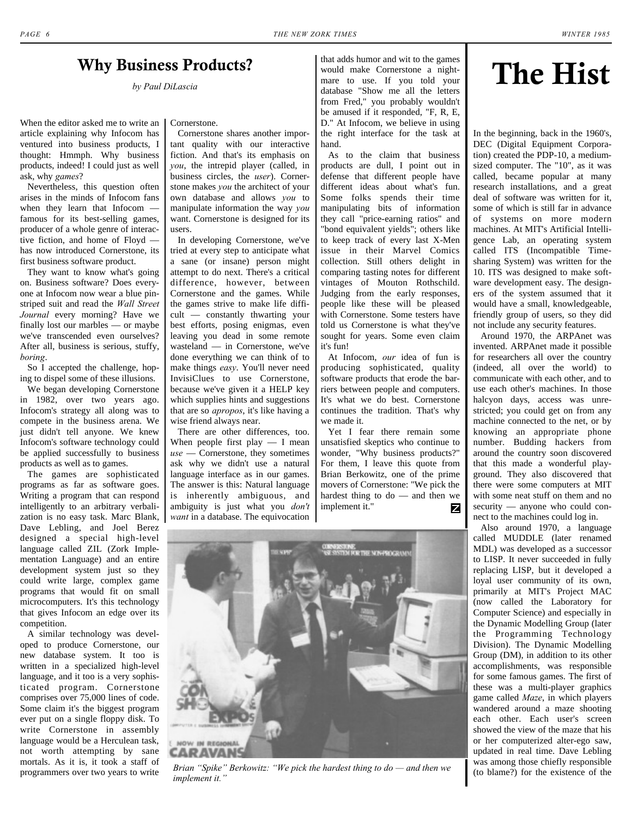#### <span id="page-5-1"></span>**Why Business Products?**

When the editor asked me to write an article explaining why Infocom has ventured into business products, I thought: Hmmph. Why business products, indeed! I could just as well ask, why *games*?

Nevertheless, this question often arises in the minds of Infocom fans when they learn that Infocom famous for its best-selling games, producer of a whole genre of interactive fiction, and home of Floyd has now introduced Cornerstone, its first business software product.

They want to know what's going on. Business software? Does everyone at Infocom now wear a blue pinstriped suit and read the *Wall Street Journal* every morning? Have we finally lost our marbles — or maybe we've transcended even ourselves? After all, business is serious, stuffy, *boring*.

So I accepted the challenge, hoping to dispel some of these illusions.

We began developing Cornerstone in 1982, over two years ago. Infocom's strategy all along was to compete in the business arena. We just didn't tell anyone. We knew Infocom's software technology could be applied successfully to business products as well as to games.

The games are sophisticated programs as far as software goes. Writing a program that can respond intelligently to an arbitrary verbalization is no easy task. Marc Blank, Dave Lebling, and Joel Berez designed a special high-level language called ZIL (Zork Implementation Language) and an entire development system just so they could write large, complex game programs that would fit on small microcomputers. It's this technology that gives Infocom an edge over its competition.

A similar technology was developed to produce Cornerstone, our new database system. It too is written in a specialized high-level language, and it too is a very sophisticated program. Cornerstone comprises over 75,000 lines of code. Some claim it's the biggest program ever put on a single floppy disk. To write Cornerstone in assembly language would be a Herculean task, not worth attempting by sane mortals. As it is, it took a staff of programmers over two years to write Cornerstone.

Cornerstone shares another important quality with our interactive fiction. And that's its emphasis on *you*, the intrepid player (called, in business circles, the *user*). Cornerstone makes *you* the architect of your own database and allows *you* to manipulate information the way *you* want. Cornerstone is designed for its users.

In developing Cornerstone, we've tried at every step to anticipate what a sane (or insane) person might attempt to do next. There's a critical difference, however, between Cornerstone and the games. While the games strive to make life difficult — constantly thwarting your best efforts, posing enigmas, even leaving you dead in some remote wasteland — in Cornerstone, we've done everything we can think of to make things *easy*. You'll never need InvisiClues to use Cornerstone, because we've given it a HELP key which supplies hints and suggestions that are so *apropos*, it's like having a wise friend always near.

There are other differences, too. When people first play — I mean *use* — Cornerstone, they sometimes ask why we didn't use a natural language interface as in our games. The answer is this: Natural language is inherently ambiguous, and ambiguity is just what you *don't want* in a database. The equivocation

that adds humor and wit to the games would make Cornerstone a nightmare to use. If you told your database "Show me all the letters from Fred," you probably wouldn't be amused if it responded, "F, R, E, D." At Infocom, we believe in using the right interface for the task at hand. **1siness Products?**<br>*by Paul DiLascia* **The Hist** by *Paul DiLascia* **The Hist** 

> As to the claim that business products are dull, I point out in defense that different people have different ideas about what's fun. Some folks spends their time manipulating bits of information they call "price-earning ratios" and "bond equivalent yields"; others like to keep track of every last X-Men issue in their Marvel Comics collection. Still others delight in comparing tasting notes for different vintages of Mouton Rothschild. Judging from the early responses, people like these will be pleased with Cornerstone. Some testers have told us Cornerstone is what they've sought for years. Some even claim it's fun!

> At Infocom, *our* idea of fun is producing sophisticated, quality software products that erode the barriers between people and computers. It's what we do best. Cornerstone continues the tradition. That's why we made it.

Yet I fear there remain some unsatisfied skeptics who continue to wonder, "Why business products?" For them, I leave this quote from Brian Berkowitz, one of the prime movers of Cornerstone: "We pick the hardest thing to do — and then we implement it." Z

<span id="page-5-0"></span>

In the beginning, back in the 1960's, DEC (Digital Equipment Corporation) created the PDP-10, a mediumsized computer. The "10", as it was called, became popular at many research installations, and a great deal of software was written for it, some of which is still far in advance of systems on more modern machines. At MIT's Artificial Intelligence Lab, an operating system called ITS (Incompatible Timesharing System) was written for the 10. ITS was designed to make software development easy. The designers of the system assumed that it would have a small, knowledgeable, friendly group of users, so they did not include any security features.

Around 1970, the ARPAnet was invented. ARPAnet made it possible for researchers all over the country (indeed, all over the world) to communicate with each other, and to use each other's machines. In those halcyon days, access was unrestricted; you could get on from any machine connected to the net, or by knowing an appropriate phone number. Budding hackers from around the country soon discovered that this made a wonderful playground. They also discovered that there were some computers at MIT with some neat stuff on them and no security — anyone who could connect to the machines could log in.

Also around 1970, a language called MUDDLE (later renamed MDL) was developed as a successor to LISP. It never succeeded in fully replacing LISP, but it developed a loyal user community of its own, primarily at MIT's Project MAC (now called the Laboratory for Computer Science) and especially in the Dynamic Modelling Group (later the Programming Technology Division). The Dynamic Modelling Group (DM), in addition to its other accomplishments, was responsible for some famous games. The first of these was a multi-player graphics game called *Maze*, in which players wandered around a maze shooting each other. Each user's screen showed the view of the maze that his or her computerized alter-ego saw, updated in real time. Dave Lebling was among those chiefly responsible<br>(to blame?) for the existence of the



Brian "Spike" Berkowitz: "We pick the hardest thing to do — and then we *implement it."*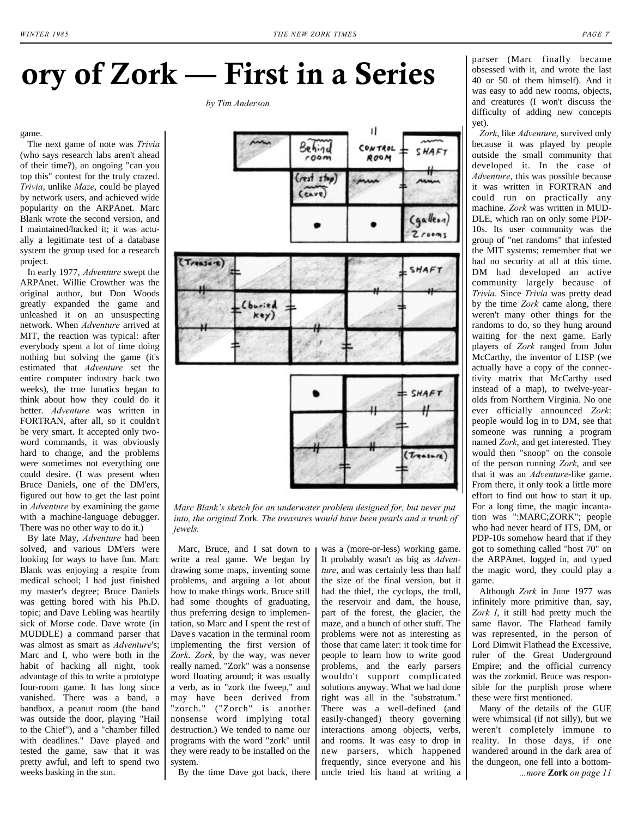## **ory of Zork — First in a Series**

*by Tim Anderson*

#### game.

The next game of note was *Trivia* (who says research labs aren't ahead of their time?), an ongoing "can you top this" contest for the truly crazed. *Trivia*, unlike *Maze*, could be played by network users, and achieved wide popularity on the ARPAnet. Marc Blank wrote the second version, and I maintained/hacked it; it was actually a legitimate test of a database system the group used for a research project.

In early 1977, *Adventure* swept the ARPAnet. Willie Crowther was the original author, but Don Woods greatly expanded the game and unleashed it on an unsuspecting network. When *Adventure* arrived at MIT, the reaction was typical: after everybody spent a lot of time doing nothing but solving the game (it's estimated that *Adventure* set the entire computer industry back two weeks), the true lunatics began to think about how they could do it better. *Adventure* was written in FORTRAN, after all, so it couldn't be very smart. It accepted only twoword commands, it was obviously hard to change, and the problems were sometimes not everything one could desire. (I was present when Bruce Daniels, one of the DM'ers, figured out how to get the last point in *Adventure* by examining the game with a machine-language debugger. There was no other way to do it.)

By late May, *Adventure* had been solved, and various DM'ers were looking for ways to have fun. Marc Blank was enjoying a respite from medical school; I had just finished my master's degree; Bruce Daniels was getting bored with his Ph.D. topic; and Dave Lebling was heartily sick of Morse code. Dave wrote (in MUDDLE) a command parser that was almost as smart as *Adventure*'s; Marc and I, who were both in the habit of hacking all night, took advantage of this to write a prototype four-room game. It has long since vanished. There was a band, a bandbox, a peanut room (the band was outside the door, playing "Hail to the Chief"), and a "chamber filled with deadlines." Dave played and tested the game, saw that it was pretty awful, and left to spend two weeks basking in the sun.



*Marc Blank's sketch for an underwater problem designed for, but never put into, the original* Zork*. The treasures would have been pearls and a trunk of jewels.*

Marc, Bruce, and I sat down to write a real game. We began by drawing some maps, inventing some problems, and arguing a lot about how to make things work. Bruce still had some thoughts of graduating, thus preferring design to implementation, so Marc and I spent the rest of Dave's vacation in the terminal room implementing the first version of *Zork*. *Zork*, by the way, was never really named. "Zork" was a nonsense word floating around; it was usually a verb, as in "zork the fweep," and may have been derived from "zorch." ("Zorch" is another nonsense word implying total destruction.) We tended to name our programs with the word "zork" until they were ready to be installed on the system.

By the time Dave got back, there

was a (more-or-less) working game. It probably wasn't as big as *Adventure*, and was certainly less than half the size of the final version, but it had the thief, the cyclops, the troll, the reservoir and dam, the house, part of the forest, the glacier, the maze, and a bunch of other stuff. The problems were not as interesting as those that came later: it took time for people to learn how to write good problems, and the early parsers wouldn't support complicated solutions anyway. What we had done right was all in the "substratum." There was a well-defined (and easily-changed) theory governing interactions among objects, verbs, and rooms. It was easy to drop in new parsers, which happened frequently, since everyone and his uncle tried his hand at writing a parser (Marc finally became obsessed with it, and wrote the last 40 or 50 of them himself). And it was easy to add new rooms, objects, and creatures (I won't discuss the difficulty of adding new concepts yet).

*Zork*, like *Adventure*, survived only because it was played by people outside the small community that developed it. In the case of *Adventure*, this was possible because it was written in FORTRAN and could run on practically any machine. *Zork* was written in MUD-DLE, which ran on only some PDP-10s. Its user community was the group of "net randoms" that infested the MIT systems; remember that we had no security at all at this time. DM had developed an active community largely because of *Trivia*. Since *Trivia* was pretty dead by the time *Zork* came along, there weren't many other things for the randoms to do, so they hung around waiting for the next game. Early players of *Zork* ranged from John McCarthy, the inventor of LISP (we actually have a copy of the connectivity matrix that McCarthy used instead of a map), to twelve-yearolds from Northern Virginia. No one ever officially announced *Zork*: people would log in to DM, see that someone was running a program named *Zork*, and get interested. They would then "snoop" on the console of the person running *Zork*, and see that it was an *Adventure*-like game. From there, it only took a little more effort to find out how to start it up. For a long time, the magic incantation was ":MARC;ZORK"; people who had never heard of ITS, DM, or PDP-10s somehow heard that if they got to something called "host 70" on the ARPAnet, logged in, and typed the magic word, they could play a game.

<span id="page-6-0"></span>Although *Zork* in June 1977 was infinitely more primitive than, say, *Zork I*, it still had pretty much the same flavor. The Flathead family was represented, in the person of Lord Dimwit Flathead the Excessive, ruler of the Great Underground Empire; and the official currency was the zorkmid. Bruce was responsible for the purplish prose where these were first mentioned.

Many of the details of the GUE were whimsical (if not silly), but we weren't completely immune to reality. In those days, if one wandered around in the dark area of the dungeon, one fell into a bottom- *...more* **Zork** *[on page 11](#page-10-0)*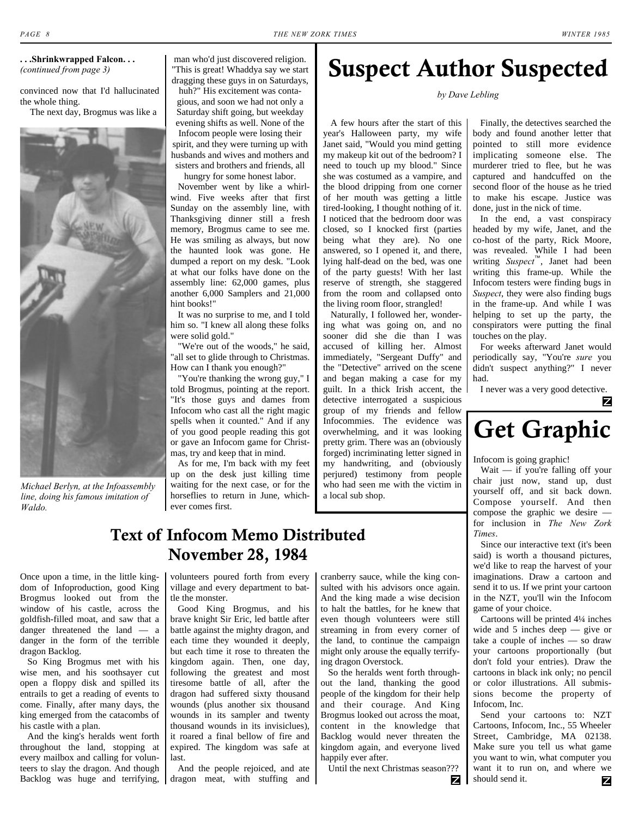#### <span id="page-7-0"></span>**. . .Shrinkwrapped Falcon. . .** *[\(continued from page 3\)](#page-2-0)*

convinced now that I'd hallucinated the whole thing.

The next day, Brogmus was like a



*Michael Berlyn, at the Infoassembly line, doing his famous imitation of Waldo.*

man who'd just discovered religion. "This is great! Whaddya say we start dragging these guys in on Saturdays,

huh?" His excitement was contagious, and soon we had not only a Saturday shift going, but weekday evening shifts as well. None of the Infocom people were losing their spirit, and they were turning up with husbands and wives and mothers and sisters and brothers and friends, all

hungry for some honest labor. November went by like a whirlwind. Five weeks after that first Sunday on the assembly line, with Thanksgiving dinner still a fresh memory, Brogmus came to see me. He was smiling as always, but now the haunted look was gone. He dumped a report on my desk. "Look at what our folks have done on the assembly line: 62,000 games, plus another 6,000 Samplers and 21,000 hint books!"

It was no surprise to me, and I told him so. "I knew all along these folks were solid gold."

"We're out of the woods," he said, "all set to glide through to Christmas. How can I thank you enough?"

"You're thanking the wrong guy," I told Brogmus, pointing at the report. "It's those guys and dames from Infocom who cast all the right magic spells when it counted." And if any of you good people reading this got or gave an Infocom game for Christmas, try and keep that in mind.

As for me, I'm back with my feet up on the desk just killing time waiting for the next case, or for the horseflies to return in June, whichever comes first.

### **Suspect Author Suspected**

*by Dave Lebling*

A few hours after the start of this year's Halloween party, my wife Janet said, "Would you mind getting my makeup kit out of the bedroom? I need to touch up my blood." Since she was costumed as a vampire, and the blood dripping from one corner of her mouth was getting a little tired-looking, I thought nothing of it. I noticed that the bedroom door was closed, so I knocked first (parties being what they are). No one answered, so I opened it, and there, lying half-dead on the bed, was one of the party guests! With her last reserve of strength, she staggered from the room and collapsed onto the living room floor, strangled!

Naturally, I followed her, wondering what was going on, and no sooner did she die than I was accused of killing her. Almost immediately, "Sergeant Duffy" and the "Detective" arrived on the scene and began making a case for my guilt. In a thick Irish accent, the detective interrogated a suspicious group of my friends and fellow Infocommies. The evidence was overwhelming, and it was looking pretty grim. There was an (obviously forged) incriminating letter signed in my handwriting, and (obviously perjured) testimony from people who had seen me with the victim in a local sub shop.

Finally, the detectives searched the body and found another letter that pointed to still more evidence implicating someone else. The murderer tried to flee, but he was captured and handcuffed on the second floor of the house as he tried to make his escape. Justice was done, just in the nick of time.

In the end, a vast conspiracy headed by my wife, Janet, and the co-host of the party, Rick Moore, was revealed. While I had been writing *Suspect*™, Janet had been writing this frame-up. While the Infocom testers were finding bugs in *Suspect*, they were also finding bugs in the frame-up. And while I was helping to set up the party, the conspirators were putting the final touches on the play.

For weeks afterward Janet would periodically say, "You're *sure* you didn't suspect anything?" I never had.

I never was a very good detective.

Z

## **Get Graphic**

Infocom is going graphic!

Wait — if you're falling off your chair just now, stand up, dust yourself off, and sit back down. Compose yourself. And then compose the graphic we desire for inclusion in *The New Zork Times*.

Since our interactive text (it's been said) is worth a thousand pictures, we'd like to reap the harvest of your imaginations. Draw a cartoon and send it to us. If we print your cartoon in the NZT, you'll win the Infocom game of your choice.

Cartoons will be printed 4¼ inches wide and 5 inches deep — give or take a couple of inches — so draw your cartoons proportionally (but don't fold your entries). Draw the cartoons in black ink only; no pencil or color illustrations. All submissions become the property of Infocom, Inc.

Send your cartoons to: NZT Cartoons, Infocom, Inc., 55 Wheeler Street, Cambridge, MA 02138. Make sure you tell us what game you want to win, what computer you want it to run on, and where we should send it. z

### **Text of Infocom Memo Distributed November 28, 1984**

Once upon a time, in the little kingdom of Infoproduction, good King Brogmus looked out from the window of his castle, across the goldfish-filled moat, and saw that a danger threatened the land — a danger in the form of the terrible dragon Backlog.

So King Brogmus met with his wise men, and his soothsayer cut open a floppy disk and spilled its entrails to get a reading of events to come. Finally, after many days, the king emerged from the catacombs of his castle with a plan.

And the king's heralds went forth throughout the land, stopping at every mailbox and calling for volunteers to slay the dragon. And though Backlog was huge and terrifying, volunteers poured forth from every village and every department to battle the monster.

Good King Brogmus, and his brave knight Sir Eric, led battle after battle against the mighty dragon, and each time they wounded it deeply, but each time it rose to threaten the kingdom again. Then, one day, following the greatest and most tiresome battle of all, after the dragon had suffered sixty thousand wounds (plus another six thousand wounds in its sampler and twenty thousand wounds in its invisiclues), it roared a final bellow of fire and expired. The kingdom was safe at last.

And the people rejoiced, and ate dragon meat, with stuffing and

cranberry sauce, while the king consulted with his advisors once again. And the king made a wise decision to halt the battles, for he knew that even though volunteers were still streaming in from every corner of the land, to continue the campaign might only arouse the equally terrifying dragon Overstock.

So the heralds went forth throughout the land, thanking the good people of the kingdom for their help and their courage. And King Brogmus looked out across the moat, content in the knowledge that Backlog would never threaten the kingdom again, and everyone lived happily ever after.

Until the next Christmas season???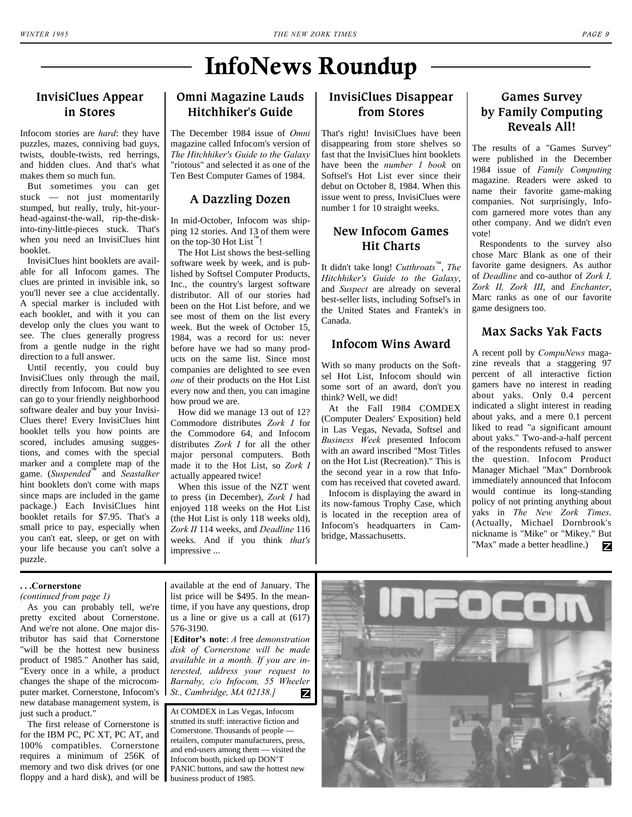### **InfoNews Roundup**

#### <span id="page-8-0"></span>**InvisiClues Appear in Stores**

Infocom stories are *hard*: they have puzzles, mazes, conniving bad guys, twists, double-twists, red herrings, and hidden clues. And that's what makes them so much fun.

But sometimes you can get stuck — not just momentarily stumped, but really, truly, hit-yourhead-against-the-wall, rip-the-diskinto-tiny-little-pieces stuck. That's when you need an InvisiClues hint booklet.

InvisiClues hint booklets are available for all Infocom games. The clues are printed in invisible ink, so you'll never see a clue accidentally. A special marker is included with each booklet, and with it you can develop only the clues you want to see. The clues generally progress from a gentle nudge in the right direction to a full answer.

Until recently, you could buy InvisiClues only through the mail, directly from Infocom. But now you can go to your friendly neighborhood software dealer and buy your Invisi-Clues there! Every InvisiClues hint booklet tells you how points are scored, includes amusing suggestions, and comes with the special marker and a complete map of the game. (*Suspended*™ and *Seastalker* hint booklets don't come with maps since maps are included in the game package.) Each InvisiClues hint booklet retails for \$7.95. That's a small price to pay, especially when you can't eat, sleep, or get on with your life because you can't solve a puzzle.

#### **Omni Magazine Lauds Hitchhiker's Guide**

The December 1984 issue of *Omni* magazine called Infocom's version of *The Hitchhiker's Guide to the Galaxy* "riotous" and selected it as one of the Ten Best Computer Games of 1984.

#### **A Dazzling Dozen**

In mid-October, Infocom was shipping 12 stories. And 13 of them were on the top-30 Hot List™!

The Hot List shows the best-selling software week by week, and is published by Softsel Computer Products, Inc., the country's largest software distributor. All of our stories had been on the Hot List before, and we see most of them on the list every week. But the week of October 15, 1984, was a record for us: never before have we had so many products on the same list. Since most companies are delighted to see even *one* of their products on the Hot List every now and then, you can imagine how proud we are.

How did we manage 13 out of 12? Commodore distributes *Zork I* for the Commodore 64, and Infocom distributes *Zork I* for all the other major personal computers. Both made it to the Hot List, so *Zork I* actually appeared twice!

When this issue of the NZT went to press (in December), *Zork I* had enjoyed 118 weeks on the Hot List (the Hot List is only 118 weeks old), *Zork II* 114 weeks, and *Deadline* 116 weeks. And if you think *that's* impressive ...

#### **InvisiClues Disappear from Stores**

That's right! InvisiClues have been disappearing from store shelves so fast that the InvisiClues hint booklets have been the *number 1 book* on Softsel's Hot List ever since their debut on October 8, 1984. When this issue went to press, InvisiClues were number 1 for 10 straight weeks.

#### **New Infocom Games Hit Charts**

It didn't take long! *Cutthroats*™, *The Hitchhiker's Guide to the Galaxy*, and *Suspect* are already on several best-seller lists, including Softsel's in the United States and Frantek's in Canada.

#### **Infocom Wins Award**

With so many products on the Softsel Hot List, Infocom should win some sort of an award, don't you think? Well, we did!

At the Fall 1984 COMDEX (Computer Dealers' Exposition) held in Las Vegas, Nevada, Softsel and *Business Week* presented Infocom with an award inscribed "Most Titles on the Hot List (Recreation)." This is the second year in a row that Infocom has received that coveted award.

Infocom is displaying the award in its now-famous Trophy Case, which is located in the reception area of Infocom's headquarters in Cambridge, Massachusetts.

#### **Games Survey by Family Computing Reveals All!**

The results of a "Games Survey" were published in the December 1984 issue of *Family Computing* magazine. Readers were asked to name their favorite game-making companies. Not surprisingly, Infocom garnered more votes than any other company. And we didn't even vote!

Respondents to the survey also chose Marc Blank as one of their favorite game designers. As author of *Deadline* and co-author of *Zork I, Zork II, Zork III*, and *Enchanter*, Marc ranks as one of our favorite game designers too.

#### **Max Sacks Yak Facts**

A recent poll by *CompuNews* magazine reveals that a staggering 97 percent of all interactive fiction gamers have no interest in reading about yaks. Only 0.4 percent indicated a slight interest in reading about yaks, and a mere 0.1 percent liked to read "a significant amount about yaks." Two-and-a-half percent of the respondents refused to answer the question. Infocom Product Manager Michael "Max" Dornbrook immediately announced that Infocom would continue its long-standing policy of not printing anything about yaks in *The New Zork Times*. (Actually, Michael Dornbrook's nickname is "Mike" or "Mikey." But "Max" made a better headline.)

#### <span id="page-8-1"></span>**. . .Cornerstone**

*[\(continued from page 1\)](#page-0-0)*

As you can probably tell, we're pretty excited about Cornerstone. And we're not alone. One major distributor has said that Cornerstone "will be the hottest new business product of 1985." Another has said, "Every once in a while, a product changes the shape of the microcomputer market. Cornerstone, Infocom's new database management system, is just such a product."

The first release of Cornerstone is for the IBM PC, PC XT, PC AT, and 100% compatibles. Cornerstone requires a minimum of 256K of memory and two disk drives (or one floppy and a hard disk), and will be available at the end of January. The list price will be \$495. In the meantime, if you have any questions, drop us a line or give us a call at  $(617)$ 576-3190.

[**Editor's note**: *A* free *demonstration disk of Cornerstone will be made available in a month. If you are interested, address your request to Barnaby, c/o Infocom, 55 Wheeler St., Cambridge, MA 02138.]* Ζ

At COMDEX in Las Vegas, Infocom strutted its stuff: interactive fiction and Cornerstone. Thousands of people retailers, computer manufacturers, press, and end-users among them — visited the Infocom booth, picked up DON'T PANIC buttons, and saw the hottest new business product of 1985.

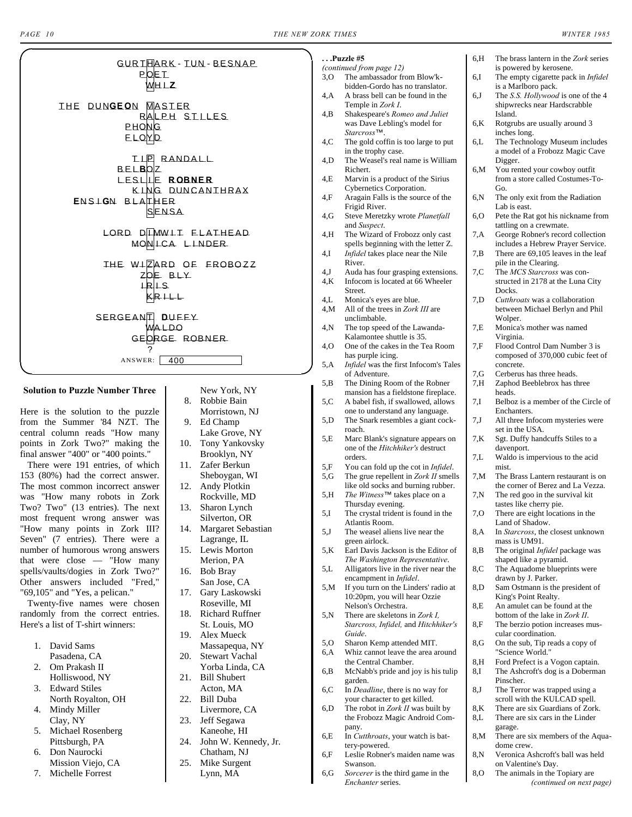<span id="page-9-0"></span>**. . .Puzzle #5**

6,H The brass lantern in the *Zork* series

<span id="page-9-1"></span>

Here is the solution to the puzzle from the Summer '84 NZT. The central column reads "How many points in Zork Two?" making the final answer "400" or "400 points."

There were 191 entries, of which 153 (80%) had the correct answer. The most common incorrect answer was "How many robots in Zork Two? Two" (13 entries). The next most frequent wrong answer was "How many points in Zork III? Seven" (7 entries). There were a number of humorous wrong answers that were close — "How many spells/vaults/dogies in Zork Two?" Other answers included "Fred," "69,105" and "Yes, a pelican."

Twenty-five names were chosen randomly from the correct entries. Here's a list of T-shirt winners:

- 1. David Sams
- Pasadena, CA 2. Om Prakash II
- Holliswood, NY
- 3. Edward Stiles North Royalton, OH
- 4. Mindy Miller Clay, NY
- 5. Michael Rosenberg Pittsburgh, PA
- 6. Don Naurocki Mission Viejo, CA
- 7. Michelle Forrest
- 8. Robbie Bain Morristown, NJ 9. Ed Champ Lake Grove, NY 10. Tony Yankovsky Brooklyn, NY 11. Zafer Berkun Sheboygan, WI 12. Andy Plotkin Rockville, MD 13. Sharon Lynch Silverton, OR 14. Margaret Sebastian
- Lagrange, IL 15. Lewis Morton
- Merion, PA 16. Bob Bray San Jose, CA 17. Gary Laskowski Roseville, MI
- 18. Richard Ruffner St. Louis, MO
- 19. Alex Mueck Massapequa, NY
- 20. Stewart Vachal Yorba Linda, CA 21. Bill Shubert
- Acton, MA 22. Bill Duba
- Livermore, CA 23. Jeff Segawa
- Kaneohe, HI 24. John W. Kennedy, Jr.
- Chatham, NJ 25. Mike Surgent
	- Lynn, MA

|        | (continued from page 12)                                               |                | is powered by kerosene.                                                |
|--------|------------------------------------------------------------------------|----------------|------------------------------------------------------------------------|
| 3,0    | The ambassador from Blow'k-                                            | 6,I            | The empty cigarette pack in <i>Infidel</i>                             |
|        | bidden-Gordo has no translator.                                        |                | is a Marlboro pack.                                                    |
| 4,A    | A brass bell can be found in the                                       | 6,J            | The S.S. Hollywood is one of the 4                                     |
|        | Temple in Zork I.                                                      |                | shipwrecks near Hardscrabble                                           |
| 4,B    | Shakespeare's Romeo and Juliet                                         |                | Island.                                                                |
|        | was Dave Lebling's model for                                           | 6,K            | Rotgrubs are usually around 3                                          |
|        | Starcross™.                                                            |                | inches long.                                                           |
| 4,C    | The gold coffin is too large to put                                    | 6,L            | The Technology Museum includes                                         |
|        | in the trophy case.                                                    |                | a model of a Frobozz Magic Cave                                        |
| 4,D    | The Weasel's real name is William                                      |                | Digger.                                                                |
|        | Richert.                                                               | 6,M            | You rented your cowboy outfit                                          |
| 4,E    | Marvin is a product of the Sirius                                      |                | from a store called Costumes-To-                                       |
|        | Cybernetics Corporation.                                               |                | Go.                                                                    |
| 4,F    | Aragain Falls is the source of the                                     | 6,N            | The only exit from the Radiation                                       |
|        | Frigid River.                                                          |                | Lab is east.                                                           |
| 4,G    | Steve Meretzky wrote Planetfall                                        | 6,O            | Pete the Rat got his nickname from                                     |
|        | and Suspect.                                                           |                | tattling on a crewmate.                                                |
| 4,H    | The Wizard of Frobozz only cast<br>spells beginning with the letter Z. | 7,A            | George Robner's record collection<br>includes a Hebrew Prayer Service. |
| 4,I    | Infidel takes place near the Nile                                      |                | There are 69,105 leaves in the leaf                                    |
|        | River.                                                                 | 7,B            | pile in the Clearing.                                                  |
| 4J     | Auda has four grasping extensions.                                     | 7,C            | The MCS Starcross was con-                                             |
| 4,K    | Infocom is located at 66 Wheeler                                       |                | structed in 2178 at the Luna City                                      |
|        | Street.                                                                |                | Docks.                                                                 |
| 4,L    | Monica's eyes are blue.                                                | 7.D            | <i>Cutthroats</i> was a collaboration                                  |
| 4,M    | All of the trees in Zork III are                                       |                | between Michael Berlyn and Phil                                        |
|        | unclimbable.                                                           |                | Wolper.                                                                |
| 4,N    | The top speed of the Lawanda-                                          | 7,E            | Monica's mother was named                                              |
|        | Kalamontee shuttle is 35.                                              |                | Virginia.                                                              |
| 4,O    | One of the cakes in the Tea Room                                       | 7,F            | Flood Control Dam Number 3 is                                          |
|        | has purple icing.                                                      |                | composed of 370,000 cubic feet of                                      |
| 5,A    | Infidel was the first Infocom's Tales                                  |                | concrete.                                                              |
|        | of Adventure.                                                          | 7,G            | Cerberus has three heads.                                              |
| 5,B    | The Dining Room of the Robner                                          | 7,H            | Zaphod Beeblebrox has three                                            |
|        | mansion has a fieldstone fireplace.                                    |                | heads.                                                                 |
| 5,C    | A babel fish, if swallowed, allows                                     | 7,I            | Belboz is a member of the Circle of                                    |
|        | one to understand any language.                                        |                | Enchanters.                                                            |
| 5,D    | The Snark resembles a giant cock-                                      | $7,\mathrm{J}$ | All three Infocom mysteries were                                       |
|        | roach.                                                                 |                | set in the USA.                                                        |
| 5,E    | Marc Blank's signature appears on                                      | 7,K            | Sgt. Duffy handcuffs Stiles to a                                       |
|        | one of the Hitchhiker's destruct                                       |                | davenport.                                                             |
|        | orders.                                                                | 7.L            | Waldo is impervious to the acid                                        |
| 5,F    | You can fold up the cot in <i>Infidel</i> .                            |                | mist.                                                                  |
| 5,G    | The grue repellent in Zork II smells                                   | 7,M            | The Brass Lantern restaurant is on                                     |
|        | like old socks and burning rubber.                                     |                | the corner of Berez and La Vezza.                                      |
| 5,H    | The Witness <sup>™</sup> takes place on a                              | 7,N            | The red goo in the survival kit                                        |
|        | Thursday evening.                                                      |                | tastes like cherry pie.                                                |
| 5,I    | The crystal trident is found in the                                    | 7,O            | There are eight locations in the                                       |
|        | Atlantis Room.                                                         |                | Land of Shadow.                                                        |
| $5,$ J | The weasel aliens live near the                                        | 8,A            | In Starcross, the closest unknown                                      |
|        | green airlock.                                                         |                | mass is UM91.                                                          |
| 5,K    | Earl Davis Jackson is the Editor of                                    | 8, B           | The original <i>Infidel</i> package was                                |
|        | The Washington Representative.                                         |                | shaped like a pyramid.                                                 |
| 5,L    | Alligators live in the river near the                                  | 8, C           | The Aquadome blueprints were                                           |
|        | encampment in Infidel.                                                 |                | drawn by J. Parker.                                                    |
| 5, M   | If you turn on the Linders' radio at                                   | 8,D            | Sam Ostmann is the president of                                        |
|        | 10:20pm, you will hear Ozzie                                           |                | King's Point Realty.                                                   |
|        | Nelson's Orchestra.                                                    | 8,E            | An amulet can be found at the                                          |
| 5,N    | There are skeletons in Zork I.                                         |                | bottom of the lake in Zork II.                                         |
|        | Starcross, Infidel, and Hitchhiker's                                   | 8, F           | The berzio potion increases mus-                                       |
|        | Guide.                                                                 |                | cular coordination.                                                    |
| 5,0    | Sharon Kemp attended MIT.                                              | 8, G           | On the sub, Tip reads a copy of                                        |
|        |                                                                        |                | "Science World."                                                       |
| 6,A    | Whiz cannot leave the area around                                      |                |                                                                        |
|        | the Central Chamber.                                                   | 8,H            | Ford Prefect is a Vogon captain.                                       |
| 6,B    | McNabb's pride and joy is his tulip                                    | 8,I            | The Ashcroft's dog is a Doberman                                       |
|        | garden.                                                                |                | Pinscher.                                                              |
| 6, C   | In Deadline, there is no way for                                       | 8, J           | The Terror was trapped using a                                         |
|        | your character to get killed.                                          |                | scroll with the KULCAD spell.                                          |
| 6,D    | The robot in Zork II was built by                                      | 8,K            | There are six Guardians of Zork.                                       |
|        | the Frobozz Magic Android Com-<br>pany.                                | 8,L            | There are six cars in the Linder<br>garage.                            |

6,E In *Cutthroats*, your watch is battery-powered.

6,F Leslie Robner's maiden name was

6,G *Sorcerer* is the third game in the *Enchanter* series.

Swanson.

- garage. 8,M There are six members of the Aqua-
- dome crew. 8,N Veronica Ashcroft's ball was held on Valentine's Day.
- 8,O The animals in the Topiary are *[\(continued on next page\)](#page-10-1)*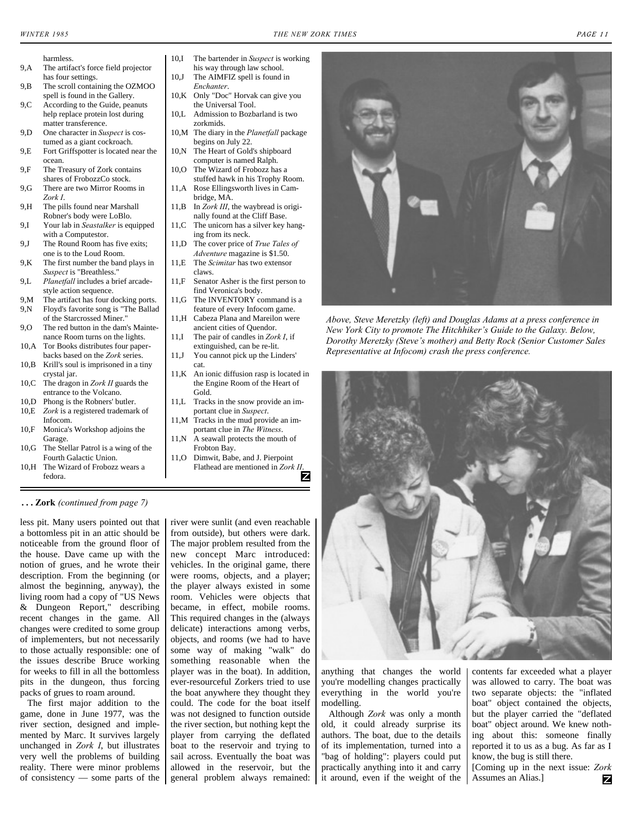- 
- <span id="page-10-1"></span>harmless.<br>9,A The artifa The artifact's force field projector has four settings.
- 9,B The scroll containing the OZMOO spell is found in the Gallery.
- 9,C According to the Guide, peanuts help replace protein lost during matter transference.
- 9,D One character in *Suspect* is costumed as a giant cockroach.
- 9,E Fort Griffspotter is located near the ocean.
- 9.F The Treasury of Zork contains shares of FrobozzCo stock.
- 9,G There are two Mirror Rooms in *Zork I*.
- 9,H The pills found near Marshall Robner's body were LoBlo.
- 9,I Your lab in *Seastalker* is equipped with a Computestor.
- 9,J The Round Room has five exits; one is to the Loud Room.
- 9,K The first number the band plays in *Suspect* is "Breathless."
- 9,L *Planetfall* includes a brief arcadestyle action sequence.
- 9,M The artifact has four docking ports. 9,N Floyd's favorite song is "The Ballad of the Starcrossed Miner."
- 9.O The red button in the dam's Maintenance Room turns on the lights.
- 10,A Tor Books distributes four paperbacks based on the *Zork* series.
- 10,B Krill's soul is imprisoned in a tiny crystal jar.
- 10,C The dragon in *Zork II* guards the entrance to the Volcano.
- 10,D Phong is the Robners' butler. 10,E *Zork* is a registered trademark of
- Infocom.
- 10,F Monica's Workshop adjoins the Garage.
- 10,G The Stellar Patrol is a wing of the Fourth Galactic Union.
- 10,H The Wizard of Frobozz wears a fedora.

#### <span id="page-10-0"></span>**. . . Zork** *[\(continued from page 7\)](#page-6-0)*

less pit. Many users pointed out that a bottomless pit in an attic should be noticeable from the ground floor of the house. Dave came up with the notion of grues, and he wrote their description. From the beginning (or almost the beginning, anyway), the living room had a copy of "US News & Dungeon Report," describing recent changes in the game. All changes were credited to some group of implementers, but not necessarily to those actually responsible: one of the issues describe Bruce working for weeks to fill in all the bottomless pits in the dungeon, thus forcing packs of grues to roam around.

The first major addition to the game, done in June 1977, was the river section, designed and implemented by Marc. It survives largely unchanged in *Zork I*, but illustrates very well the problems of building reality. There were minor problems of consistency — some parts of the

- 10,I The bartender in *Suspect* is working his way through law school. 10,J The AIMFIZ spell is found in
- *Enchanter*.
- 10,K Only "Doc" Horvak can give you the Universal Tool.
- 10,L Admission to Bozbarland is two zorkmids.
- 10,M The diary in the *Planetfall* package begins on July 22.
- 10,N The Heart of Gold's shipboard computer is named Ralph. 10.O The Wizard of Frobozz has a
- stuffed hawk in his Trophy Room. 11,A Rose Ellingsworth lives in Cam-
- bridge, MA. 11,B In *Zork III*, the waybread is origi-
- nally found at the Cliff Base. 11,C The unicorn has a silver key hang-
- ing from its neck. 11,D The cover price of *True Tales of*
- *Adventure* magazine is \$1.50. 11,E The *Scimitar* has two extensor
- claws. 11,F Senator Asher is the first person to
- find Veronica's body. 11,G The INVENTORY command is a
- feature of every Infocom game. 11,H Cabeza Plana and Mareilon were
- ancient cities of Quendor. 11,I The pair of candles in *Zork I*, if extinguished, can be re-lit.
- 11,J You cannot pick up the Linders' cat.
- 11,K An ionic diffusion rasp is located in the Engine Room of the Heart of Gold.
- 11,L Tracks in the snow provide an important clue in *Suspect*.
- 11,M Tracks in the mud provide an important clue in *The Witness*.
- 11,N A seawall protects the mouth of Frobton Bay.
- 11,O Dimwit, Babe, and J. Pierpoint Flathead are mentioned in *Zork II*.

river were sunlit (and even reachable from outside), but others were dark. The major problem resulted from the new concept Marc introduced: vehicles. In the original game, there were rooms, objects, and a player; the player always existed in some room. Vehicles were objects that became, in effect, mobile rooms. This required changes in the (always delicate) interactions among verbs, objects, and rooms (we had to have some way of making "walk" do something reasonable when the player was in the boat). In addition, ever-resourceful Zorkers tried to use the boat anywhere they thought they could. The code for the boat itself was not designed to function outside the river section, but nothing kept the player from carrying the deflated

boat to the reservoir and trying to sail across. Eventually the boat was allowed in the reservoir, but the general problem always remained:



*Above, Steve Meretzky (left) and Douglas Adams at a press conference in New York City to promote The Hitchhiker's Guide to the Galaxy. Below, Dorothy Meretzky (Steve's mother) and Betty Rock (Senior Customer Sales Representative at Infocom) crash the press conference.*



anything that changes the world you're modelling changes practically everything in the world you're modelling.

Although *Zork* was only a month old, it could already surprise its authors. The boat, due to the details of its implementation, turned into a "bag of holding": players could put practically anything into it and carry it around, even if the weight of the

contents far exceeded what a player was allowed to carry. The boat was two separate objects: the "inflated boat" object contained the objects, but the player carried the "deflated boat" object around. We knew nothing about this: someone finally reported it to us as a bug. As far as I know, the bug is still there.

[Coming up in the next issue: *Zork* Assumes an Alias.] z